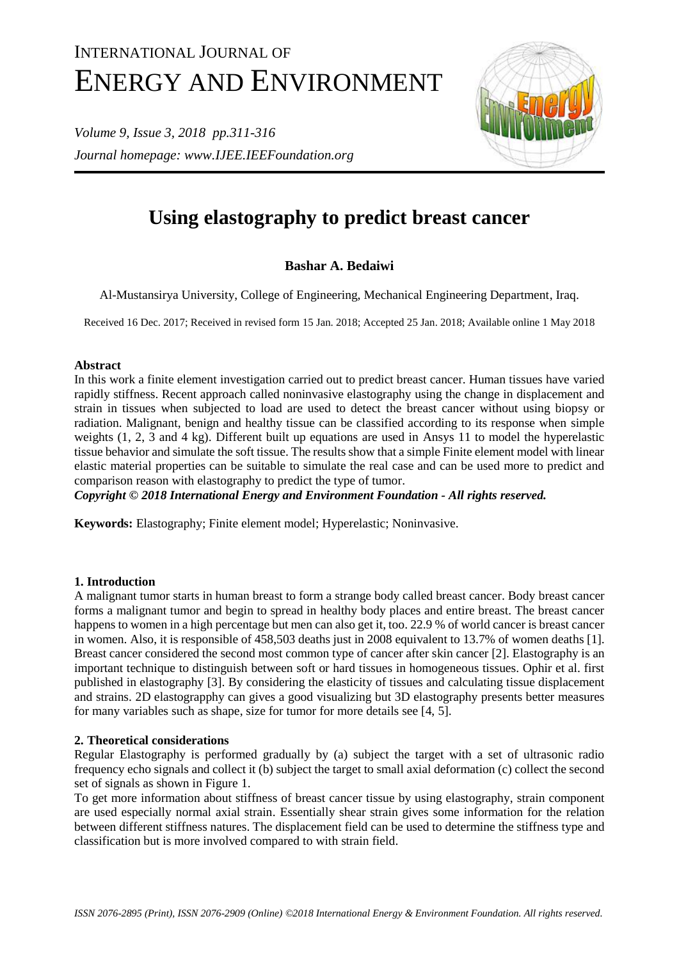# INTERNATIONAL JOURNAL OF ENERGY AND ENVIRONMENT

*Volume 9, Issue 3, 2018 pp.311-316 Journal homepage: www.IJEE.IEEFoundation.org*



# **Using elastography to predict breast cancer**

# **Bashar A. Bedaiwi**

Al-Mustansirya University, College of Engineering, Mechanical Engineering Department, Iraq.

Received 16 Dec. 2017; Received in revised form 15 Jan. 2018; Accepted 25 Jan. 2018; Available online 1 May 2018

# **Abstract**

In this work a finite element investigation carried out to predict breast cancer. Human tissues have varied rapidly stiffness. Recent approach called noninvasive elastography using the change in displacement and strain in tissues when subjected to load are used to detect the breast cancer without using biopsy or radiation. Malignant, benign and healthy tissue can be classified according to its response when simple weights (1, 2, 3 and 4 kg). Different built up equations are used in Ansys 11 to model the hyperelastic tissue behavior and simulate the soft tissue. The results show that a simple Finite element model with linear elastic material properties can be suitable to simulate the real case and can be used more to predict and comparison reason with elastography to predict the type of tumor.

*Copyright © 2018 International Energy and Environment Foundation - All rights reserved.*

**Keywords:** Elastography; Finite element model; Hyperelastic; Noninvasive.

# **1. Introduction**

A malignant tumor starts in human breast to form a strange body called breast cancer. Body breast cancer forms a malignant tumor and begin to spread in healthy body places and entire breast. The breast cancer happens to women in a high percentage but men can also get it, too. 22.9 % of world cancer is breast cancer in women. Also, it is responsible of 458,503 deaths just in 2008 equivalent to 13.7% of women deaths [1]. Breast cancer considered the second most common type of cancer after skin cancer [2]. Elastography is an important technique to distinguish between soft or hard tissues in homogeneous tissues. Ophir et al. first published in elastography [3]. By considering the elasticity of tissues and calculating tissue displacement and strains. 2D elastograpphy can gives a good visualizing but 3D elastography presents better measures for many variables such as shape, size for tumor for more details see [4, 5].

# **2. Theoretical considerations**

Regular Elastography is performed gradually by (a) subject the target with a set of ultrasonic radio frequency echo signals and collect it (b) subject the target to small axial deformation (c) collect the second set of signals as shown in Figure 1.

To get more information about stiffness of breast cancer tissue by using elastography, strain component are used especially normal axial strain. Essentially shear strain gives some information for the relation between different stiffness natures. The displacement field can be used to determine the stiffness type and classification but is more involved compared to with strain field.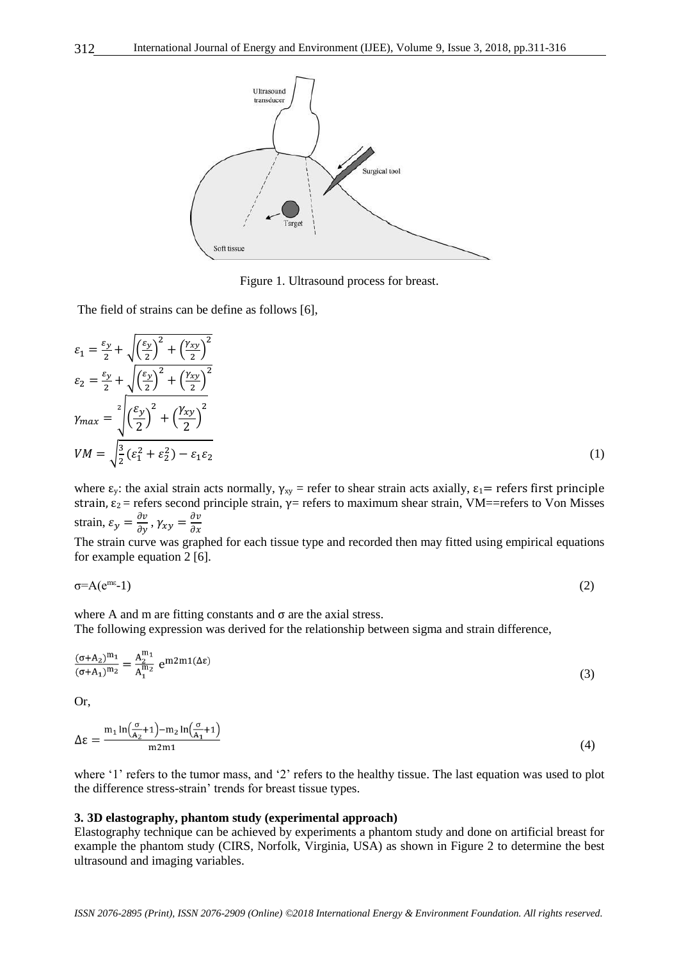

Figure 1. Ultrasound process for breast.

The field of strains can be define as follows [6],

$$
\varepsilon_1 = \frac{\varepsilon_y}{2} + \sqrt{\left(\frac{\varepsilon_y}{2}\right)^2 + \left(\frac{\gamma_{xy}}{2}\right)^2}
$$
\n
$$
\varepsilon_2 = \frac{\varepsilon_y}{2} + \sqrt{\left(\frac{\varepsilon_y}{2}\right)^2 + \left(\frac{\gamma_{xy}}{2}\right)^2}
$$
\n
$$
\gamma_{max} = \sqrt[2]{\left(\frac{\varepsilon_y}{2}\right)^2 + \left(\frac{\gamma_{xy}}{2}\right)^2}
$$
\n
$$
VM = \sqrt{\frac{3}{2}(\varepsilon_1^2 + \varepsilon_2^2) - \varepsilon_1 \varepsilon_2}
$$
\n(1)

where  $\varepsilon_y$ : the axial strain acts normally,  $\gamma_{xy}$  = refer to shear strain acts axially,  $\varepsilon_1$  = refers first principle strain,  $\varepsilon_2$  = refers second principle strain,  $\gamma$  = refers to maximum shear strain, VM==refers to Von Misses strain,  $\varepsilon_y = \frac{\partial v}{\partial y}$ ,  $\gamma_{xy} = \frac{\partial v}{\partial x}$  $\partial x$ 

The strain curve was graphed for each tissue type and recorded then may fitted using empirical equations for example equation 2 [6].

$$
\sigma = A(e^{mc}-1) \tag{2}
$$

where A and m are fitting constants and  $\sigma$  are the axial stress.

The following expression was derived for the relationship between sigma and strain difference,

$$
\frac{(\sigma + A_2)^{m_1}}{(\sigma + A_1)^{m_2}} = \frac{A_2^{m_1}}{A_1^{m_2}} e^{m2m_1(\Delta \varepsilon)}
$$
(3)

Or,

$$
\Delta \varepsilon = \frac{\mathrm{m}_1 \ln \left( \frac{\sigma}{\mathrm{A}_2} + 1 \right) - \mathrm{m}_2 \ln \left( \frac{\sigma}{\mathrm{A}_1} + 1 \right)}{\mathrm{m} 2 \mathrm{m} 1} \tag{4}
$$

where '1' refers to the tumor mass, and '2' refers to the healthy tissue. The last equation was used to plot the difference stress-strain' trends for breast tissue types.

#### **3. 3D elastography, phantom study (experimental approach)**

Elastography technique can be achieved by experiments a phantom study and done on artificial breast for example the phantom study (CIRS, Norfolk, Virginia, USA) as shown in Figure 2 to determine the best ultrasound and imaging variables.

312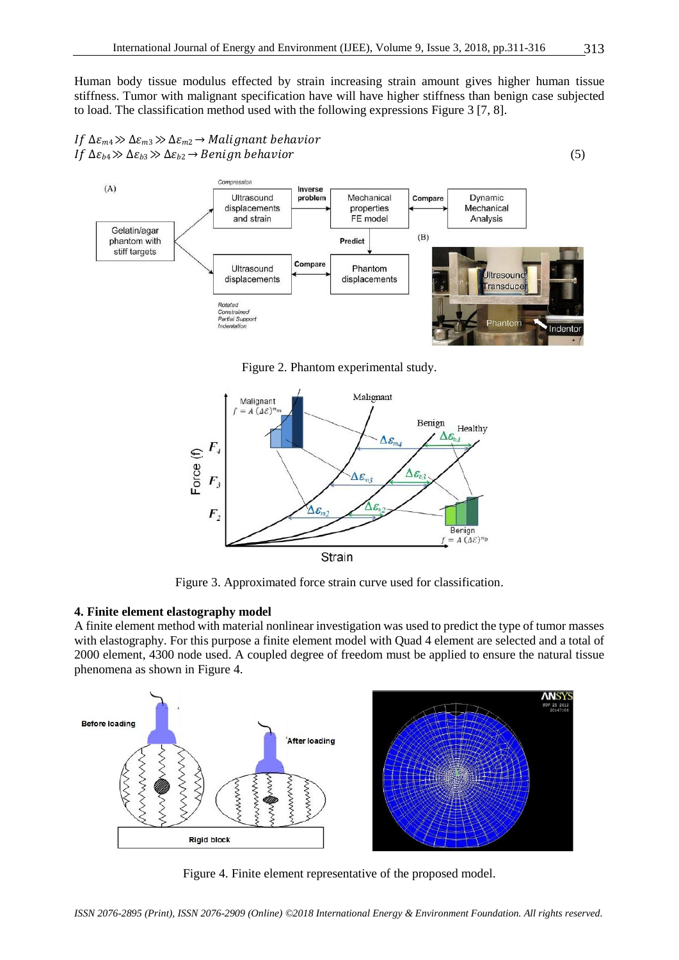Human body tissue modulus effected by strain increasing strain amount gives higher human tissue stiffness. Tumor with malignant specification have will have higher stiffness than benign case subjected to load. The classification method used with the following expressions Figure 3 [7, 8].





Figure 2. Phantom experimental study.



Figure 3. Approximated force strain curve used for classification.

#### **4. Finite element elastography model**

A finite element method with material nonlinear investigation was used to predict the type of tumor masses with elastography. For this purpose a finite element model with Quad 4 element are selected and a total of 2000 element, 4300 node used. A coupled degree of freedom must be applied to ensure the natural tissue phenomena as shown in Figure 4.



Figure 4. Finite element representative of the proposed model.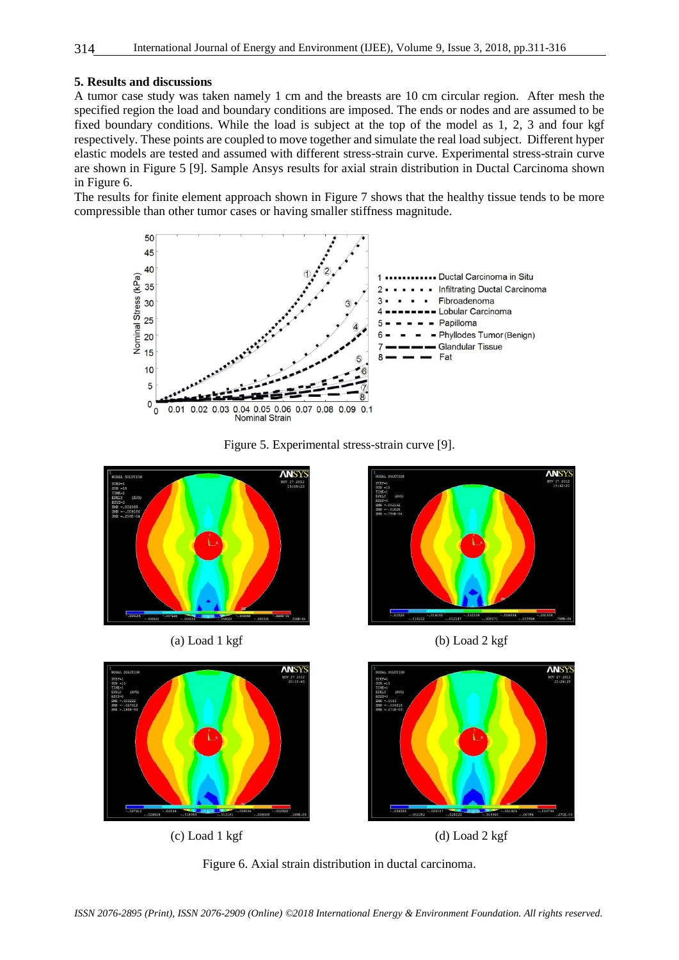# **5. Results and discussions**

A tumor case study was taken namely 1 cm and the breasts are 10 cm circular region. After mesh the specified region the load and boundary conditions are imposed. The ends or nodes and are assumed to be fixed boundary conditions. While the load is subject at the top of the model as 1, 2, 3 and four kgf respectively. These points are coupled to move together and simulate the real load subject. Different hyper elastic models are tested and assumed with different stress-strain curve. Experimental stress-strain curve are shown in Figure 5 [9]. Sample Ansys results for axial strain distribution in Ductal Carcinoma shown in Figure 6.

The results for finite element approach shown in Figure 7 shows that the healthy tissue tends to be more compressible than other tumor cases or having smaller stiffness magnitude.







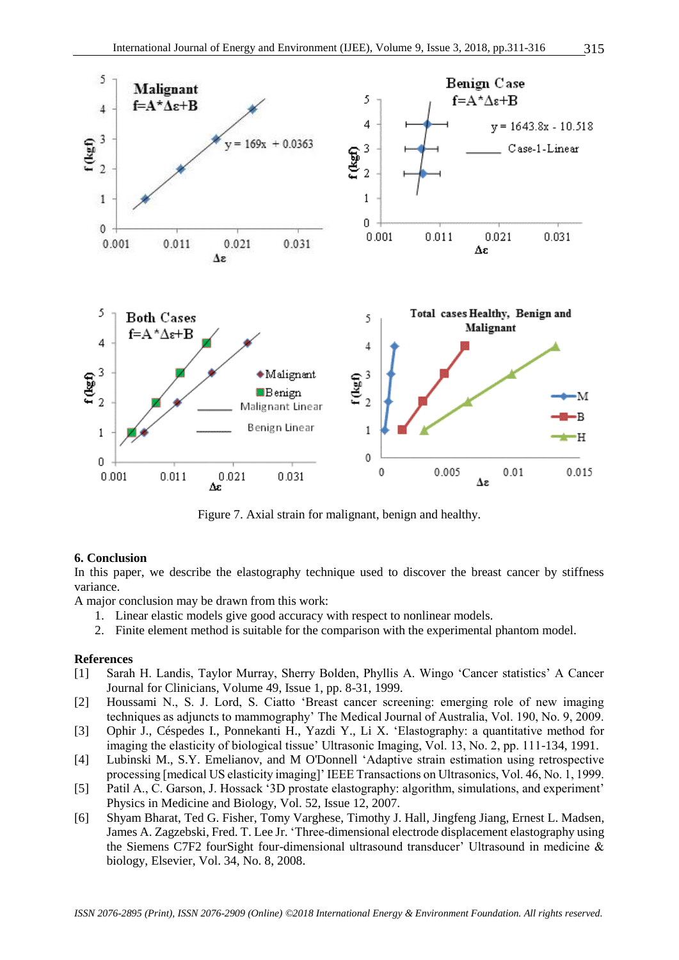

Figure 7. Axial strain for malignant, benign and healthy.

#### **6. Conclusion**

In this paper, we describe the elastography technique used to discover the breast cancer by stiffness variance.

A major conclusion may be drawn from this work:

- 1. Linear elastic models give good accuracy with respect to nonlinear models.
- 2. Finite element method is suitable for the comparison with the experimental phantom model.

#### **References**

- [1] Sarah H. Landis, Taylor Murray, Sherry Bolden, Phyllis A. Wingo 'Cancer statistics' A Cancer Journal for Clinicians, Volume 49, Issue 1, pp. 8-31, 1999.
- [2] Houssami N., S. J. Lord, S. Ciatto 'Breast cancer screening: emerging role of new imaging techniques as adjuncts to mammography' The Medical Journal of Australia, Vol. 190, No. 9, 2009.
- [3] [Ophir J.,](https://www.ncbi.nlm.nih.gov/pubmed/?term=Ophir%20J%5BAuthor%5D&cauthor=true&cauthor_uid=1858217) [Céspedes I.](https://www.ncbi.nlm.nih.gov/pubmed/?term=C%C3%A9spedes%20I%5BAuthor%5D&cauthor=true&cauthor_uid=1858217)[,](https://www.ncbi.nlm.nih.gov/pubmed/?term=Ponnekanti%20H%5BAuthor%5D&cauthor=true&cauthor_uid=1858217) [Ponnekanti H.,](https://www.ncbi.nlm.nih.gov/pubmed/?term=Ponnekanti%20H%5BAuthor%5D&cauthor=true&cauthor_uid=1858217) [Yazdi Y.,](https://www.ncbi.nlm.nih.gov/pubmed/?term=Yazdi%20Y%5BAuthor%5D&cauthor=true&cauthor_uid=1858217) [Li X.](https://www.ncbi.nlm.nih.gov/pubmed/?term=Li%20X%5BAuthor%5D&cauthor=true&cauthor_uid=1858217) 'Elastography: a quantitative method for imaging the elasticity of biological tissue' Ultrasonic Imaging, Vol. 13, No. 2, pp. 111-134, 1991.
- [4] Lubinski M., S.Y. Emelianov, and M [O'Donnell](http://ieeexplore.ieee.org/search/searchresult.jsp?searchWithin=%22Authors%22:.QT.M.%20O%27Donnell.QT.&newsearch=true) ['](http://ieeexplore.ieee.org/search/searchresult.jsp?searchWithin=%22Authors%22:.QT.M.%20O%27Donnell.QT.&newsearch=true)Adaptive strain estimation using retrospective processing [medical US elasticity imaging]' IEEE Transactions on Ultrasonics, Vol. 46, No. 1, 1999.
- [5] Patil A., C. Garson, J. Hossack '3D prostate elastography: algorithm, simulations, and experiment' Physics in Medicine and Biology, Vol. 52, Issue 12, 2007.
- [6] [Shyam Bharat,](https://www.ncbi.nlm.nih.gov/pubmed/?term=Bharat%20S%5BAuthor%5D&cauthor=true&cauthor_uid=18374467) [Ted G. Fisher,](https://www.ncbi.nlm.nih.gov/pubmed/?term=Fisher%20TG%5BAuthor%5D&cauthor=true&cauthor_uid=18374467) [Tomy Varghese,](https://www.ncbi.nlm.nih.gov/pubmed/?term=Varghese%20T%5BAuthor%5D&cauthor=true&cauthor_uid=18374467) [Timothy J. Hall,](https://www.ncbi.nlm.nih.gov/pubmed/?term=Hall%20TJ%5BAuthor%5D&cauthor=true&cauthor_uid=18374467) [Jingfeng Jiang,](https://www.ncbi.nlm.nih.gov/pubmed/?term=Jiang%20J%5BAuthor%5D&cauthor=true&cauthor_uid=18374467) [Ernest L. Madsen,](https://www.ncbi.nlm.nih.gov/pubmed/?term=Madsen%20EL%5BAuthor%5D&cauthor=true&cauthor_uid=18374467) [James A. Zagzebski,](https://www.ncbi.nlm.nih.gov/pubmed/?term=Zagzebski%20JA%5BAuthor%5D&cauthor=true&cauthor_uid=18374467) [Fred. T. Lee Jr.](https://www.ncbi.nlm.nih.gov/pubmed/?term=Lee%20FT%5BAuthor%5D&cauthor=true&cauthor_uid=18374467) ['](https://www.ncbi.nlm.nih.gov/pubmed/?term=Lee%20FT%5BAuthor%5D&cauthor=true&cauthor_uid=18374467)Three-dimensional electrode displacement elastography using the Siemens C7F2 fourSight four-dimensional ultrasound transducer' Ultrasound in medicine & biology, Elsevier, Vol. 34, No. 8, 2008.